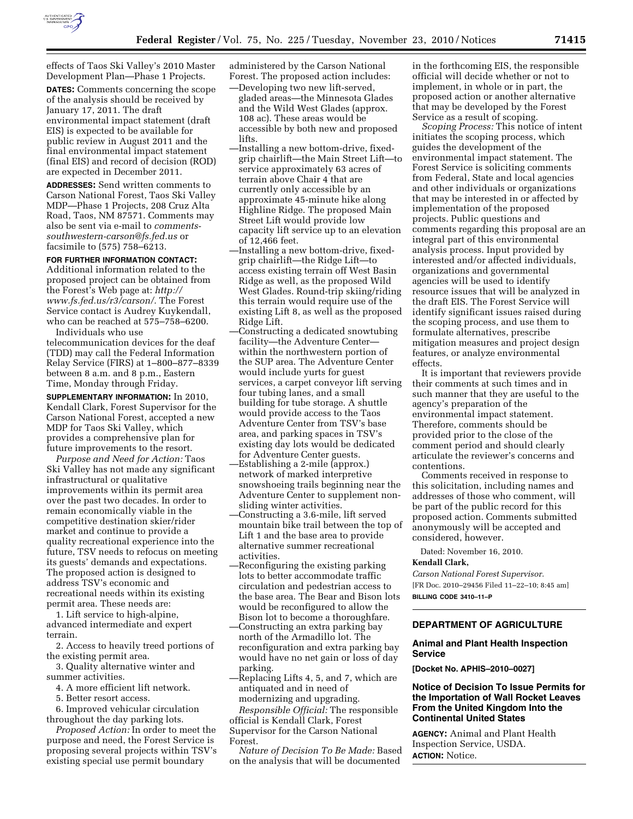

effects of Taos Ski Valley's 2010 Master Development Plan—Phase 1 Projects.

**DATES:** Comments concerning the scope of the analysis should be received by January 17, 2011. The draft environmental impact statement (draft EIS) is expected to be available for public review in August 2011 and the final environmental impact statement (final EIS) and record of decision (ROD) are expected in December 2011.

**ADDRESSES:** Send written comments to Carson National Forest, Taos Ski Valley MDP—Phase 1 Projects, 208 Cruz Alta Road, Taos, NM 87571. Comments may also be sent via e-mail to *[comments](mailto:comments-southwestern-carson@fs.fed.us)[southwestern-carson@fs.fed.us](mailto:comments-southwestern-carson@fs.fed.us)* or facsimile to (575) 758–6213.

# **FOR FURTHER INFORMATION CONTACT:**

Additional information related to the proposed project can be obtained from the Forest's Web page at: *[http://](http://www.fs.fed.us/r3/carson/) [www.fs.fed.us/r3/carson/.](http://www.fs.fed.us/r3/carson/)* The Forest Service contact is Audrey Kuykendall, who can be reached at 575–758–6200. Individuals who use

telecommunication devices for the deaf (TDD) may call the Federal Information Relay Service (FIRS) at 1–800–877–8339 between 8 a.m. and 8 p.m., Eastern Time, Monday through Friday.

**SUPPLEMENTARY INFORMATION:** In 2010, Kendall Clark, Forest Supervisor for the Carson National Forest, accepted a new MDP for Taos Ski Valley, which provides a comprehensive plan for future improvements to the resort.

*Purpose and Need for Action:* Taos Ski Valley has not made any significant infrastructural or qualitative improvements within its permit area over the past two decades. In order to remain economically viable in the competitive destination skier/rider market and continue to provide a quality recreational experience into the future, TSV needs to refocus on meeting its guests' demands and expectations. The proposed action is designed to address TSV's economic and recreational needs within its existing permit area. These needs are:

1. Lift service to high-alpine, advanced intermediate and expert terrain.

2. Access to heavily treed portions of the existing permit area.

3. Quality alternative winter and summer activities.

4. A more efficient lift network.

5. Better resort access.

6. Improved vehicular circulation throughout the day parking lots.

*Proposed Action:* In order to meet the purpose and need, the Forest Service is proposing several projects within TSV's existing special use permit boundary

administered by the Carson National Forest. The proposed action includes:

- —Developing two new lift-served, gladed areas—the Minnesota Glades and the Wild West Glades (approx. 108 ac). These areas would be accessible by both new and proposed lifts.
- —Installing a new bottom-drive, fixedgrip chairlift—the Main Street Lift—to service approximately 63 acres of terrain above Chair 4 that are currently only accessible by an approximate 45-minute hike along Highline Ridge. The proposed Main Street Lift would provide low capacity lift service up to an elevation of 12,466 feet.
- —Installing a new bottom-drive, fixedgrip chairlift—the Ridge Lift—to access existing terrain off West Basin Ridge as well, as the proposed Wild West Glades. Round-trip skiing/riding this terrain would require use of the existing Lift 8, as well as the proposed Ridge Lift.
- —Constructing a dedicated snowtubing facility—the Adventure Center within the northwestern portion of the SUP area. The Adventure Center would include yurts for guest services, a carpet conveyor lift serving four tubing lanes, and a small building for tube storage. A shuttle would provide access to the Taos Adventure Center from TSV's base area, and parking spaces in TSV's existing day lots would be dedicated for Adventure Center guests.
- —Establishing a 2-mile (approx.) network of marked interpretive snowshoeing trails beginning near the Adventure Center to supplement nonsliding winter activities.
- —Constructing a 3.6-mile, lift served mountain bike trail between the top of Lift 1 and the base area to provide alternative summer recreational activities.
- —Reconfiguring the existing parking lots to better accommodate traffic circulation and pedestrian access to the base area. The Bear and Bison lots would be reconfigured to allow the Bison lot to become a thoroughfare.
- —Constructing an extra parking bay north of the Armadillo lot. The reconfiguration and extra parking bay would have no net gain or loss of day parking.
- —Replacing Lifts 4, 5, and 7, which are antiquated and in need of

modernizing and upgrading. *Responsible Official:* The responsible official is Kendall Clark, Forest Supervisor for the Carson National Forest.

*Nature of Decision To Be Made:* Based on the analysis that will be documented

in the forthcoming EIS, the responsible official will decide whether or not to implement, in whole or in part, the proposed action or another alternative that may be developed by the Forest Service as a result of scoping.

*Scoping Process:* This notice of intent initiates the scoping process, which guides the development of the environmental impact statement. The Forest Service is soliciting comments from Federal, State and local agencies and other individuals or organizations that may be interested in or affected by implementation of the proposed projects. Public questions and comments regarding this proposal are an integral part of this environmental analysis process. Input provided by interested and/or affected individuals, organizations and governmental agencies will be used to identify resource issues that will be analyzed in the draft EIS. The Forest Service will identify significant issues raised during the scoping process, and use them to formulate alternatives, prescribe mitigation measures and project design features, or analyze environmental effects.

It is important that reviewers provide their comments at such times and in such manner that they are useful to the agency's preparation of the environmental impact statement. Therefore, comments should be provided prior to the close of the comment period and should clearly articulate the reviewer's concerns and contentions.

Comments received in response to this solicitation, including names and addresses of those who comment, will be part of the public record for this proposed action. Comments submitted anonymously will be accepted and considered, however.

Dated: November 16, 2010.

## **Kendall Clark,**

*Carson National Forest Supervisor.*  [FR Doc. 2010–29456 Filed 11–22–10; 8:45 am] **BILLING CODE 3410–11–P** 

# **DEPARTMENT OF AGRICULTURE**

## **Animal and Plant Health Inspection Service**

**[Docket No. APHIS–2010–0027]** 

# **Notice of Decision To Issue Permits for the Importation of Wall Rocket Leaves From the United Kingdom Into the Continental United States**

**AGENCY:** Animal and Plant Health Inspection Service, USDA. **ACTION:** Notice.